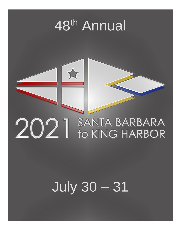# 48<sup>th</sup> Annual



# **July 30 - 31**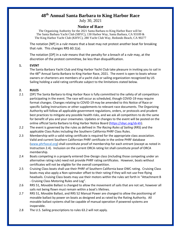# **48 th Annual Santa Barbara to King Harbor Race**

July 30, 2021

# **Notice of Race**

The Organizing Authority for the 2021 Santa Barbara to King Harbor Race will be: The Santa Barbara Yacht Club (SBYC), 130 Harbor Way, Santa Barbara, CA 93109 & The King Harbor Yacht Club (KHYC), 280 Yacht Club Way, Redondo Beach, CA 90277

The notation [NP] in a *rule* means that a boat may not protest another boat for breaking that *rule*. This changes RRS 60.1(a).

The notation [DP] in a *rule* means that the penalty for a breach of a *rule* may, at the discretion of the protest committee, be less than disqualification.

#### **1. EVENT**

The Santa Barbara Yacht Club and King Harbor Yacht Club take pleasure in inviting you to sail in the 48<sup>th</sup> Annual Santa Barbara to King Harbor Race, 2021. The event is open to boats whose owners or charterers are members of a yacht club or sailing organization recognized by US Sailing holding a valid rating certificate subject to the limitations stated below.

## **2. RULES**

- 2.1 [DP] The Santa Barbara to King Harbor Race is fully committed to the safety of all competitors participating in the event. The race will occur as scheduled, though COVID-19 may require format changes. Changes relating to COVID-19 may be amended to this Notice of Race or specific Sailing Instructions or other supplements to relevant race documents. The Organizing Authority will follow all applicable government regulations, orders, or protocols and prudent best practices to mitigate any possible health risks, and we ask all competitors to do the same for benefit of you and your crewmates. Updates or changes to the event will be posted on the online official Santa Barbara to King Harbor Notice Board [\(https://sbyc.org/sb-kh\)](https://sbyc.org/sb-kh).
- 2.2 The event is governed by the rules as defined in *The Racing Rules of Sailing* (RRS) and the applicable Class Rules including the Southern California PHRF Class Rules.
- 2.3 Membership with a valid rating certificate is required for the appropriate class association. Valid and current Southern Californian PHRF certificate in the online PHRF database [\(www.phrfsocal.org\)](http://www.phrfsocal.org/) shall constitute proof of membership for each entrant (except as noted in Instruction 2.4). Inclusion on the current ORCA rating list shall constitute proof of ORCA membership.
- 2.4 Boats competing in a properly entered One-Design class (including those competing under an alternative rating rule) need not provide PHRF rating certificates. However, boats without certificates will not be eligible for the overall competition.
- 2.5 Cruising Class boats shall use their PHRF of Southern California base OWC rating. Cruising Class boats may also apply a Non-spinnaker offset to their rating if they will not use free-flying headsails. Cruising Class boats may use their motors within the rules set forth in "Attachment B - Cruising Class Motoring Rules and Log".
- 2.6 RRS 51, Movable Ballast is changed to allow the movement of sails that are not set, however all sails not being flown must remain within a boat's lifelines.
- 2.7 RRS 51, Movable Ballast, and RRS 52 Manual Power are changed to allow the positioning of movable ballast by power on boats as designed and as rated by the Rating Authority. All movable ballast systems shall be capable of manual operation if powered systems are inoperable.
- 2.8 The U.S. Sailing prescriptions to rules 63.2 will not apply.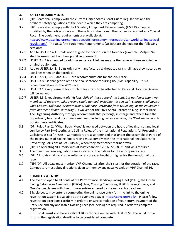### **3. SAFETY REQUIREMENTS**

- 3.1 [DP] Boats shall comply with the current United States Coast Guard Regulations and the offshore safety regulations of the fleet in which they are competing.
- 3.2 [DP] Boats shall comply with the US Safety Equipment Requirements, (USSER) except as modified by the notice of race and the sailing instructions. The course is classified as a Coastal Race. The equipment requirements are available at: [https://www.ussailing.org/competition/offshore/safety-information/ser-world-sailing-special](https://www.ussailing.org/competition/offshore/safety-information/ser-world-sailing-special-regulations/)[regulations/](https://www.ussailing.org/competition/offshore/safety-information/ser-world-sailing-special-regulations/)[.](http://www.ussailing.org/wp-content/uploads/DARoot/US_SER_2016.1%20with%20cx.pdf) The US Safety Equipment Requirements (USSER) are changed for the following sections:
- 3.2.1 Add to USSER 2.4.1: Boats not designed for persons on the foredeck (example: Melges 24) shall be exempted from bow pulpit requirement.
- 3.2.2 USSER 2.4.4 is amended to add the sentence: Lifelines may be the same as those supplied as original equipment.
- 3.2.3 Add to USSER 2.4.8: Boats originally manufactured without toe rails shall have crew secured to jack lines when on the foredeck.
- 3.2.4 USSER 2.5.1, 3.8.1, and 3.33.1 are recommendations for the 2021 race.
- 3.2.5 USSER 3.8.2 is changed to omit the final sentence requiring DSC/GPS capability. It is a recommendation for the 2021 race.
- 3.2.6 USSER 3.1.2 requirement for crotch or leg straps to be attached to Personal Flotation Devices will be waived.
- 3.2.7 USSER 4.3.2. requirement of: "*At least 30% of those aboard the boat, but not fewer than two members of the crew, unless racing single-handed, including the person in charge, shall have a valid Coastal, Offshore, or International Offshore Certificate from US Sailing, or the equivalent from another national authority"*, is waived for the 2021 Santa Barbara to King Harbor Race. The Organizing Authority strongly recommends that person(s) in charge and others take the opportunity to attend upcoming seminar(s), including, when available, the 'On-Line' version to obtain these certificates.
- 3.3 [DP] Rules Part 2, "When Boats Meet" is replaced between the hours of local sunset and local sunrise by Part B—Steering and Sailing Rules, of the International Regulations for Preventing Collisions at Sea (IRPCAS). Competitors are also reminded that under the preamble of Part 2 of the Racing Rules of Sailing, boats racing must comply with the International Regulations for Preventing Collisions at Sea (IRPCAS) when they meet other marine traffic.
- 3.4 [DP] An operating VHF radio with at least channels 12, 16, 22, 68, 71 and 78 is required.
- 3.5 The minimum crew regulations are as stated in the bylaws for the appropriate class.
- 3.6 [DP] All boats shall fly a radar reflector at spreader height or higher for the duration of the race.
- 3.7 [NP] [DP] All boats must monitor VHF Channel 16 after their start for the duration of the race. Competitors must obey directions given to them by any naval vessels on VHF Channel 16.

# **4. ELIGIBILITY & ENTRY**

- 4.1 The event is open to all boats of the Performance Handicap Racing Fleet (PHRF), the Ocean Racing Catamaran Association (ORCA) class, Cruising Class using PHRF Cruising Offsets, and One-Design classes with five or more entries entered by the early entry deadline.
- 4.2 Eligible boats may enter by completing the online race entry form. A link to the online registration system is available at the event webpage: [https://sbyc.org/sb-kh.](https://sbyc.org/2018-sb-kh) Please follow registration directions carefully in order to ensure completion of your entry. Payment of the Entry Fee and any applicable Docking Fees (see below) are required in order to complete registration.
- 4.3 PHRF boats must also have a valid PHRF certificate on file with PHRF of Southern California prior to the registration deadline to be considered complete.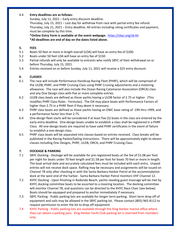#### 4.4 **Entry deadlines are as follows:**

Sunday, July 11, 2021 – Early entry discount deadline.

Thursday, July 15, 2021 – Last day for withdraw from race with partial entry fee refund. Thursday, July 21, 2021 – Entry deadline. All entries including rating certificates and payment, must be complete by this time.

**\*Online Entry Form is available at the event webpage:** [https://sbyc.org/sb-kh](https://sbyc.org/2018-sb-kh) **\*All deadlines are end of day on the dates listed above.**

#### **5. FEES**

- 5.1 Boats 50 feet or more in length overall (LOA) will have an entry fee of \$200.
- 5.2 Boats under 50 feet LOA will have an entry fee of \$150.
- 5.3 Partial refunds will only be available to entrants who notify SBYC of their withdrawal on or before Thursday, July 15, 2021.
- 5.4 Entries received on or before Sunday, July 11, 2021 will receive a \$25 entry discount.

#### **6. CLASSES**

- 6.1 The race will include Performance Handicap Racing Fleet (PHRF), which will be comprised of the ULDB, PHRF, and PHRF Cruising Class using PHRF Cruising adjustments and a motoring allowance. The race will also include the Ocean Racing Catamaran Association (ORCA) class and any One Design class with five or more complete entries.
- 6.2 ULDB class boats are defined as those yachts having a ULDB factor of 2.75 or higher. (This modifies PHRF Class Rules - Formulas). The OA may place boats with Performance Factors of higher than 2.75 in a PHRF fleet if they deem it necessary.
- 6.3 PHRF class boats are defined as those yachts having an OWC base rating of -199 thru +999, and a performance factor less than 2.75.
- 6.4 One-design fleet starts will be considered if at least five (5) boats in the class are entered by the early entry deadline. One-design boats unable to establish a class shall be registered in a PHRF Class. All one-design boats are required to have valid PHRF certificates in the event of failure to establish a one-design class.
- 6.5 PHRF class boats will be separated into classes based on entries received. Class breaks will be published in the Racing Packet/Sailing Instructions. There will be approximately eight to eleven classes including One Designs, PHRF, ULDB, ORCA, and PHRF Cruising Class.

#### **7. DOCKAGE & PARKING**

- 7.1 SBYC Docking Dockage will be available for pre-registered boats at the fee of \$1.08 per foot per night for boats under 70 feet length and \$1.58 per foot for boats 70 feet or more in length. The boat arrival date and accurately calculated fees must be included with each entry. Unpaid entries will not receive dock space. Rafting may be necessary and assignments will be issued on Channel 78 only after checking in with the Santa Barbara Harbor Patrol at the accommodation dock at the west end of the harbor. Santa Barbara Harbor Patrol monitors VHF Channel 12.
- 7.2 KHYC Docking Upon finishing in Redondo Beach, yachts needing guest moorage will be met by KHYC docking committee boats to be escorted to a mooring location. The docking committee will monitor Channel 78, and questions can be directed to the KHYC Race Chair (see below). Boats should be equipped and prepared to anchor immediately if necessary.
- 7.3 SBYC Parking Public parking lots are available for longer term parking. Short term drop off of equipment and sails may be allowed in the SBYC parking lot. Please contact (805) 965-8112 to request permission to enter the lot to drop off equipment.
- 7.4 KHYC Parking Public parking lots are available through the King Harbor marina office where they can obtain a parking pass. King Harbor Yacht Club parking lot is reserved from members only.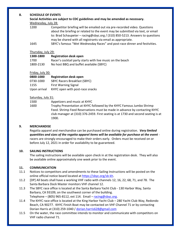### **8. SCHEDULE OF EVENTS**

#### Wednesday, July 28:

| 1200 | Competitor briefing will be emailed out via pre-recorded video. Questions      |
|------|--------------------------------------------------------------------------------|
|      | about the briefing or related to the event may be submitted via text, or email |
|      | to: Brad Schaupeter – racing@sbyc.org / (310) 850-5213. Answers to questions   |
|      | may be shared with all registrants via email as appropriate.                   |
| 1645 | SBYC's famous "Wet Wednesday Races" and post-race dinner and festivities.      |

#### Thursday, July 29:

| 1300-1800 | <b>Registration desk open</b>                              |
|-----------|------------------------------------------------------------|
| 1700      | Racer's cocktail party starts with live music on the beach |
| 1800-2130 | No host BBQ and buffet available (SBYC)                    |

# Friday, July 30:

| 0800-1000    | <b>Registration desk open</b>       |
|--------------|-------------------------------------|
| 0730-1000    | <b>SBYC Racers Breakfast (SBYC)</b> |
| 1155         | <b>First Warning Signal</b>         |
| Upon arrival | KHYC open with post-race snacks     |

#### Saturday, July 31:

1500 Appetizers and music at KHYC

1600 Trophy Presentation at KHYC followed by the KHYC Famous Jumbo Shrimp Feed. Shrimp Feed Reservations must be made in advance by contacting KHYC club manager at (310) 376-2459. First seating is at 1730 and second seating is at 1900.

# **9. MERCHANDISE**

Regatta apparel and merchandise can be purchased online during registration. *Very limited quantities and sizes of the regatta apparel items will be available for purchase at the event* racers are strongly encouraged to make their orders early. Orders must be received on or before July 12, 2021 in order for availability to be guaranteed.

## **10. SAILING INSTRUCTIONS**

The sailing instructions will be available upon check in at the registration desk. They will also be available online approximately one week prior to the event.

# **11. COMMUNICATION**

- 11.1 Notices to competitors and amendments to these Sailing Instructions will be posted on the online official notice board located at [https://sbyc.org/sb-kh.](https://sbyc.org/sb-kh)
- 11.2 [DP] All boats shall have a working VHF radio with channels 12, 16, 22, 68, 71, and 78. The Santa Barbara Dock Master monitors VHF channel 12.
- 11.3 The SBYC race office is located at the Santa Barbara Yacht Club 130 Harbor Way, Santa Barbara, CA 93109, on the southwest corner of the building. Telephone – (805) 965-8112, ext 114. Email –  $racing@sbyc.org$ .
- 11.4 The KHYC race office is located at the King Harbor Yacht Club 280 Yacht Club Way, Redondo Beach, CA 90277. KHYC Finish Boat may be contacted on VHF Channel 71 or by contacting Dorian Harris at (310) 259-1040 / [dorian.harris628@gmail.com](mailto:dorian.harris628@gmail.com)
- 11.5 On the water, the race committee intends to monitor and communicate with competitors on VHF radio channel 71.